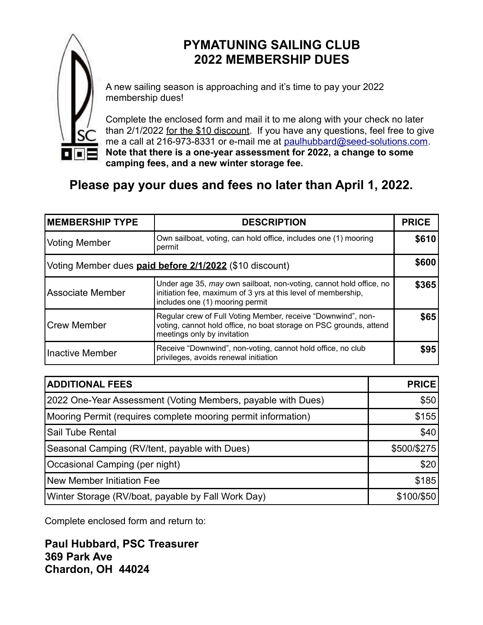

## **PYMATUNING SAILING CLUB 2022 MEMBERSHIP DUES**

A new sailing season is approaching and it's time to pay your 2022 membership dues!

Complete the enclosed form and mail it to me along with your check no later than 2/1/2022 for the \$10 discount. If you have any questions, feel free to give me a call at 216-973-8331 or e-mail me at [paulhubbard@seed-solutions.com.](mailto:paulhubbard@seed-solutions.com) **Note that there is a one-year assessment for 2022, a change to some camping fees, and a new winter storage fee.**

## **Please pay your dues and fees no later than April 1, 2022.**

| <b>MEMBERSHIP TYPE</b>                                  | <b>DESCRIPTION</b>                                                                                                                                                     | <b>PRICE</b> |
|---------------------------------------------------------|------------------------------------------------------------------------------------------------------------------------------------------------------------------------|--------------|
| <b>Voting Member</b>                                    | Own sailboat, voting, can hold office, includes one (1) mooring<br>permit                                                                                              |              |
| Voting Member dues paid before 2/1/2022 (\$10 discount) |                                                                                                                                                                        |              |
| <b>Associate Member</b>                                 | Under age 35, may own sailboat, non-voting, cannot hold office, no<br>initiation fee, maximum of 3 yrs at this level of membership,<br>includes one (1) mooring permit |              |
| <b>Crew Member</b>                                      | Regular crew of Full Voting Member, receive "Downwind", non-<br>voting, cannot hold office, no boat storage on PSC grounds, attend<br>meetings only by invitation      | \$65         |
| <b>Inactive Member</b>                                  | Receive "Downwind", non-voting, cannot hold office, no club<br>privileges, avoids renewal initiation                                                                   | \$95         |

| <b>ADDITIONAL FEES</b>                                        | <b>PRICE!</b> |
|---------------------------------------------------------------|---------------|
| 2022 One-Year Assessment (Voting Members, payable with Dues)  | \$50          |
| Mooring Permit (requires complete mooring permit information) | \$155         |
| <b>Sail Tube Rental</b>                                       | \$40          |
| Seasonal Camping (RV/tent, payable with Dues)                 | \$500/\$275   |
| Occasional Camping (per night)                                | \$20          |
| New Member Initiation Fee                                     | \$185         |
| Winter Storage (RV/boat, payable by Fall Work Day)            | \$100/\$50    |

Complete enclosed form and return to:

**Paul Hubbard, PSC Treasurer 369 Park Ave Chardon, OH 44024**